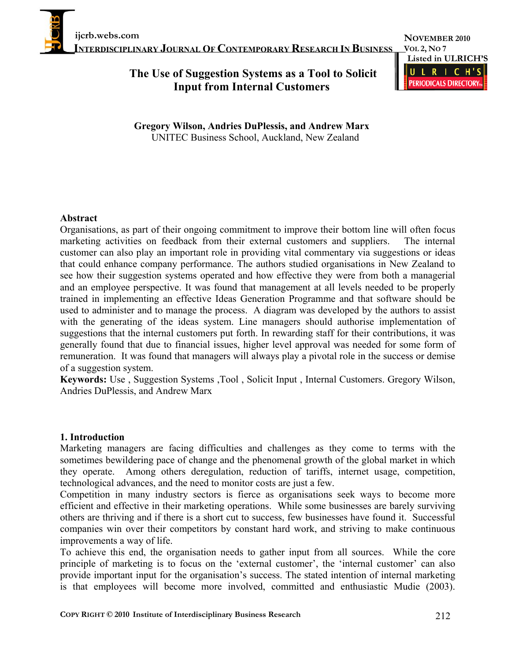**NOVEMBER 2010 VOL 2, NO 7 Listed in ULRICH'S**  $\mathbf{U}$  $\mathbf{R}$  $\epsilon$ **PERIODICALS DIRECTORY** 

# **The Use of Suggestion Systems as a Tool to Solicit Input from Internal Customers**

**Gregory Wilson, Andries DuPlessis, and Andrew Marx** UNITEC Business School, Auckland, New Zealand

#### **Abstract**

Organisations, as part of their ongoing commitment to improve their bottom line will often focus marketing activities on feedback from their external customers and suppliers. The internal customer can also play an important role in providing vital commentary via suggestions or ideas that could enhance company performance. The authors studied organisations in New Zealand to see how their suggestion systems operated and how effective they were from both a managerial and an employee perspective. It was found that management at all levels needed to be properly trained in implementing an effective Ideas Generation Programme and that software should be used to administer and to manage the process. A diagram was developed by the authors to assist with the generating of the ideas system. Line managers should authorise implementation of suggestions that the internal customers put forth. In rewarding staff for their contributions, it was generally found that due to financial issues, higher level approval was needed for some form of remuneration. It was found that managers will always play a pivotal role in the success or demise of a suggestion system.

**Keywords:** Use , Suggestion Systems ,Tool , Solicit Input , Internal Customers. Gregory Wilson, Andries DuPlessis, and Andrew Marx

#### **1. Introduction**

Marketing managers are facing difficulties and challenges as they come to terms with the sometimes bewildering pace of change and the phenomenal growth of the global market in which they operate. Among others deregulation, reduction of tariffs, internet usage, competition, technological advances, and the need to monitor costs are just a few.

Competition in many industry sectors is fierce as organisations seek ways to become more efficient and effective in their marketing operations. While some businesses are barely surviving others are thriving and if there is a short cut to success, few businesses have found it. Successful companies win over their competitors by constant hard work, and striving to make continuous improvements a way of life.

To achieve this end, the organisation needs to gather input from all sources. While the core principle of marketing is to focus on the 'external customer', the 'internal customer' can also provide important input for the organisation's success. The stated intention of internal marketing is that employees will become more involved, committed and enthusiastic Mudie (2003).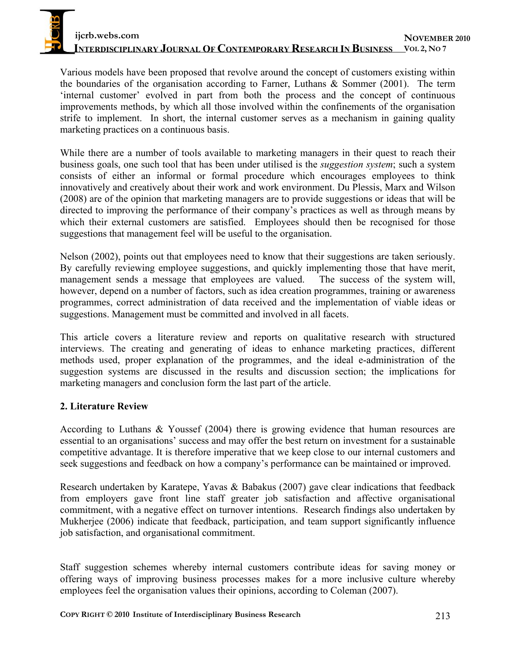Various models have been proposed that revolve around the concept of customers existing within the boundaries of the organisation according to Farner, Luthans & Sommer (2001). The term 'internal customer' evolved in part from both the process and the concept of continuous improvements methods, by which all those involved within the confinements of the organisation strife to implement. In short, the internal customer serves as a mechanism in gaining quality marketing practices on a continuous basis.

While there are a number of tools available to marketing managers in their quest to reach their business goals, one such tool that has been under utilised is the *suggestion system*; such a system consists of either an informal or formal procedure which encourages employees to think innovatively and creatively about their work and work environment. Du Plessis, Marx and Wilson (2008) are of the opinion that marketing managers are to provide suggestions or ideas that will be directed to improving the performance of their company's practices as well as through means by which their external customers are satisfied. Employees should then be recognised for those suggestions that management feel will be useful to the organisation.

Nelson (2002), points out that employees need to know that their suggestions are taken seriously. By carefully reviewing employee suggestions, and quickly implementing those that have merit, management sends a message that employees are valued. The success of the system will, however, depend on a number of factors, such as idea creation programmes, training or awareness programmes, correct administration of data received and the implementation of viable ideas or suggestions. Management must be committed and involved in all facets.

This article covers a literature review and reports on qualitative research with structured interviews. The creating and generating of ideas to enhance marketing practices, different methods used, proper explanation of the programmes, and the ideal e-administration of the suggestion systems are discussed in the results and discussion section; the implications for marketing managers and conclusion form the last part of the article.

### **2. Literature Review**

According to Luthans & Youssef (2004) there is growing evidence that human resources are essential to an organisations' success and may offer the best return on investment for a sustainable competitive advantage. It is therefore imperative that we keep close to our internal customers and seek suggestions and feedback on how a company's performance can be maintained or improved.

Research undertaken by Karatepe, Yavas & Babakus (2007) gave clear indications that feedback from employers gave front line staff greater job satisfaction and affective organisational commitment, with a negative effect on turnover intentions. Research findings also undertaken by Mukherjee (2006) indicate that feedback, participation, and team support significantly influence job satisfaction, and organisational commitment.

Staff suggestion schemes whereby internal customers contribute ideas for saving money or offering ways of improving business processes makes for a more inclusive culture whereby employees feel the organisation values their opinions, according to Coleman (2007).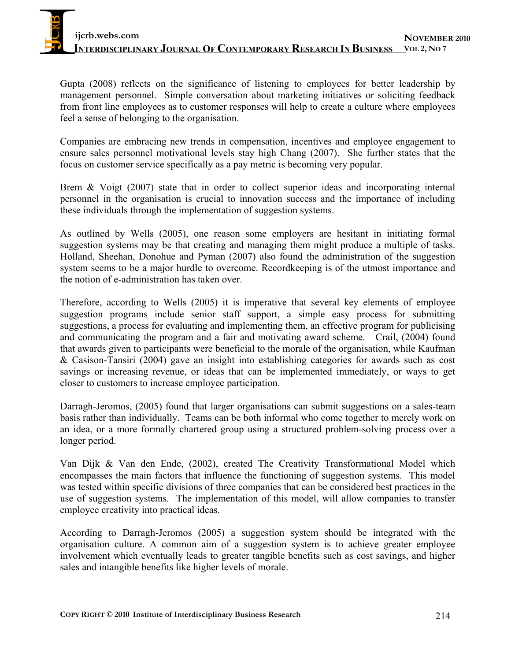Gupta (2008) reflects on the significance of listening to employees for better leadership by management personnel. Simple conversation about marketing initiatives or soliciting feedback from front line employees as to customer responses will help to create a culture where employees feel a sense of belonging to the organisation.

Companies are embracing new trends in compensation, incentives and employee engagement to ensure sales personnel motivational levels stay high Chang (2007). She further states that the focus on customer service specifically as a pay metric is becoming very popular.

Brem & Voigt (2007) state that in order to collect superior ideas and incorporating internal personnel in the organisation is crucial to innovation success and the importance of including these individuals through the implementation of suggestion systems.

As outlined by Wells (2005), one reason some employers are hesitant in initiating formal suggestion systems may be that creating and managing them might produce a multiple of tasks. Holland, Sheehan, Donohue and Pyman (2007) also found the administration of the suggestion system seems to be a major hurdle to overcome. Recordkeeping is of the utmost importance and the notion of e-administration has taken over.

Therefore, according to Wells (2005) it is imperative that several key elements of employee suggestion programs include senior staff support, a simple easy process for submitting suggestions, a process for evaluating and implementing them, an effective program for publicising and communicating the program and a fair and motivating award scheme. Crail, (2004) found that awards given to participants were beneficial to the morale of the organisation, while Kaufman & Casison-Tansiri (2004) gave an insight into establishing categories for awards such as cost savings or increasing revenue, or ideas that can be implemented immediately, or ways to get closer to customers to increase employee participation.

Darragh-Jeromos, (2005) found that larger organisations can submit suggestions on a sales-team basis rather than individually. Teams can be both informal who come together to merely work on an idea, or a more formally chartered group using a structured problem-solving process over a longer period.

Van Dijk & Van den Ende, (2002), created The Creativity Transformational Model which encompasses the main factors that influence the functioning of suggestion systems. This model was tested within specific divisions of three companies that can be considered best practices in the use of suggestion systems. The implementation of this model, will allow companies to transfer employee creativity into practical ideas.

According to Darragh-Jeromos (2005) a suggestion system should be integrated with the organisation culture. A common aim of a suggestion system is to achieve greater employee involvement which eventually leads to greater tangible benefits such as cost savings, and higher sales and intangible benefits like higher levels of morale.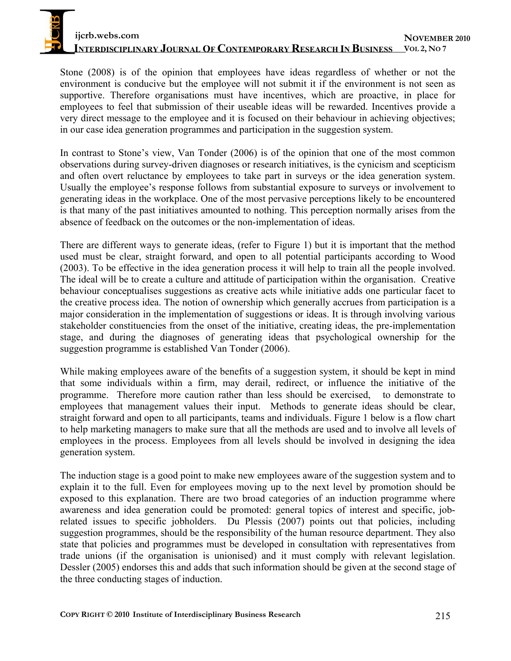# **ijcrb.webs.com INTERDISCIPLINARY JOURNAL OF CONTEMPORARY RESEARCH IN BUSINESS VOL 2, NO 7 NOVEMBER 2010**

Stone (2008) is of the opinion that employees have ideas regardless of whether or not the environment is conducive but the employee will not submit it if the environment is not seen as supportive. Therefore organisations must have incentives, which are proactive, in place for employees to feel that submission of their useable ideas will be rewarded. Incentives provide a very direct message to the employee and it is focused on their behaviour in achieving objectives; in our case idea generation programmes and participation in the suggestion system.

In contrast to Stone's view, Van Tonder (2006) is of the opinion that one of the most common observations during survey-driven diagnoses or research initiatives, is the cynicism and scepticism and often overt reluctance by employees to take part in surveys or the idea generation system. Usually the employee's response follows from substantial exposure to surveys or involvement to generating ideas in the workplace. One of the most pervasive perceptions likely to be encountered is that many of the past initiatives amounted to nothing. This perception normally arises from the absence of feedback on the outcomes or the non-implementation of ideas.

There are different ways to generate ideas, (refer to Figure 1) but it is important that the method used must be clear, straight forward, and open to all potential participants according to Wood (2003). To be effective in the idea generation process it will help to train all the people involved. The ideal will be to create a culture and attitude of participation within the organisation. Creative behaviour conceptualises suggestions as creative acts while initiative adds one particular facet to the creative process idea. The notion of ownership which generally accrues from participation is a major consideration in the implementation of suggestions or ideas. It is through involving various stakeholder constituencies from the onset of the initiative, creating ideas, the pre-implementation stage, and during the diagnoses of generating ideas that psychological ownership for the suggestion programme is established Van Tonder (2006).

While making employees aware of the benefits of a suggestion system, it should be kept in mind that some individuals within a firm, may derail, redirect, or influence the initiative of the programme. Therefore more caution rather than less should be exercised, to demonstrate to employees that management values their input. Methods to generate ideas should be clear, straight forward and open to all participants, teams and individuals. Figure 1 below is a flow chart to help marketing managers to make sure that all the methods are used and to involve all levels of employees in the process. Employees from all levels should be involved in designing the idea generation system.

The induction stage is a good point to make new employees aware of the suggestion system and to explain it to the full. Even for employees moving up to the next level by promotion should be exposed to this explanation. There are two broad categories of an induction programme where awareness and idea generation could be promoted: general topics of interest and specific, jobrelated issues to specific jobholders. Du Plessis (2007) points out that policies, including suggestion programmes, should be the responsibility of the human resource department. They also state that policies and programmes must be developed in consultation with representatives from trade unions (if the organisation is unionised) and it must comply with relevant legislation. Dessler (2005) endorses this and adds that such information should be given at the second stage of the three conducting stages of induction.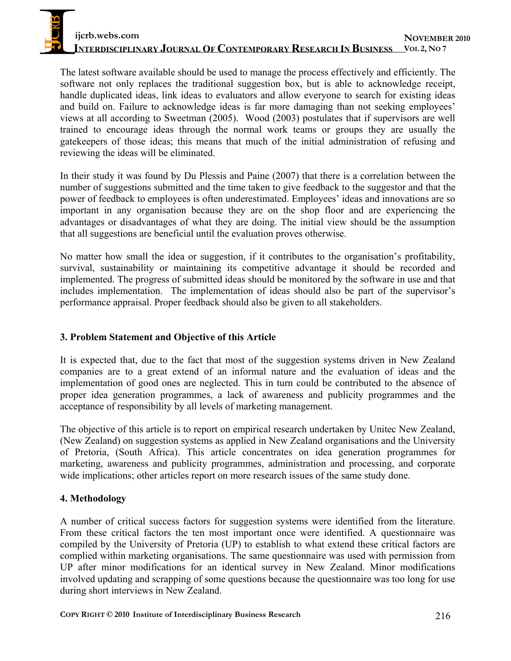The latest software available should be used to manage the process effectively and efficiently. The software not only replaces the traditional suggestion box, but is able to acknowledge receipt, handle duplicated ideas, link ideas to evaluators and allow everyone to search for existing ideas and build on. Failure to acknowledge ideas is far more damaging than not seeking employees' views at all according to Sweetman (2005). Wood (2003) postulates that if supervisors are well trained to encourage ideas through the normal work teams or groups they are usually the gatekeepers of those ideas; this means that much of the initial administration of refusing and reviewing the ideas will be eliminated.

In their study it was found by Du Plessis and Paine (2007) that there is a correlation between the number of suggestions submitted and the time taken to give feedback to the suggestor and that the power of feedback to employees is often underestimated. Employees' ideas and innovations are so important in any organisation because they are on the shop floor and are experiencing the advantages or disadvantages of what they are doing. The initial view should be the assumption that all suggestions are beneficial until the evaluation proves otherwise.

No matter how small the idea or suggestion, if it contributes to the organisation's profitability, survival, sustainability or maintaining its competitive advantage it should be recorded and implemented. The progress of submitted ideas should be monitored by the software in use and that includes implementation. The implementation of ideas should also be part of the supervisor's performance appraisal. Proper feedback should also be given to all stakeholders.

# **3. Problem Statement and Objective of this Article**

It is expected that, due to the fact that most of the suggestion systems driven in New Zealand companies are to a great extend of an informal nature and the evaluation of ideas and the implementation of good ones are neglected. This in turn could be contributed to the absence of proper idea generation programmes, a lack of awareness and publicity programmes and the acceptance of responsibility by all levels of marketing management.

The objective of this article is to report on empirical research undertaken by Unitec New Zealand, (New Zealand) on suggestion systems as applied in New Zealand organisations and the University of Pretoria, (South Africa). This article concentrates on idea generation programmes for marketing, awareness and publicity programmes, administration and processing, and corporate wide implications; other articles report on more research issues of the same study done.

# **4. Methodology**

A number of critical success factors for suggestion systems were identified from the literature. From these critical factors the ten most important once were identified. A questionnaire was compiled by the University of Pretoria (UP) to establish to what extend these critical factors are complied within marketing organisations. The same questionnaire was used with permission from UP after minor modifications for an identical survey in New Zealand. Minor modifications involved updating and scrapping of some questions because the questionnaire was too long for use during short interviews in New Zealand.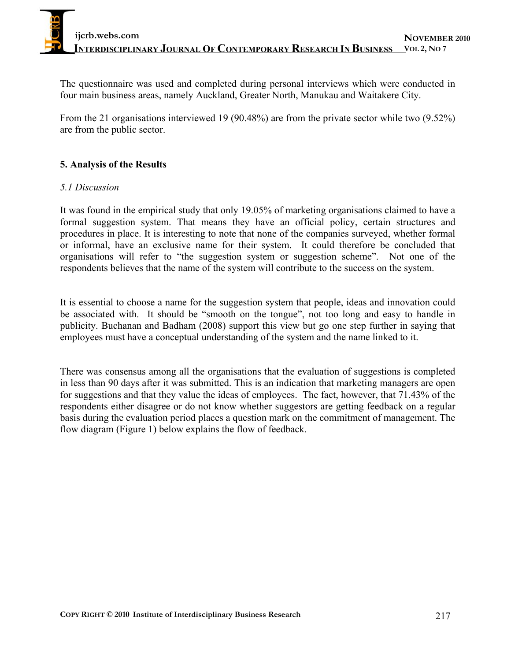The questionnaire was used and completed during personal interviews which were conducted in four main business areas, namely Auckland, Greater North, Manukau and Waitakere City.

From the 21 organisations interviewed 19 (90.48%) are from the private sector while two (9.52%) are from the public sector.

### **5. Analysis of the Results**

#### *5.1 Discussion*

It was found in the empirical study that only 19.05% of marketing organisations claimed to have a formal suggestion system. That means they have an official policy, certain structures and procedures in place. It is interesting to note that none of the companies surveyed, whether formal or informal, have an exclusive name for their system. It could therefore be concluded that organisations will refer to "the suggestion system or suggestion scheme". Not one of the respondents believes that the name of the system will contribute to the success on the system.

It is essential to choose a name for the suggestion system that people, ideas and innovation could be associated with. It should be "smooth on the tongue", not too long and easy to handle in publicity. Buchanan and Badham (2008) support this view but go one step further in saying that employees must have a conceptual understanding of the system and the name linked to it.

There was consensus among all the organisations that the evaluation of suggestions is completed in less than 90 days after it was submitted. This is an indication that marketing managers are open for suggestions and that they value the ideas of employees. The fact, however, that 71.43% of the respondents either disagree or do not know whether suggestors are getting feedback on a regular basis during the evaluation period places a question mark on the commitment of management. The flow diagram (Figure 1) below explains the flow of feedback.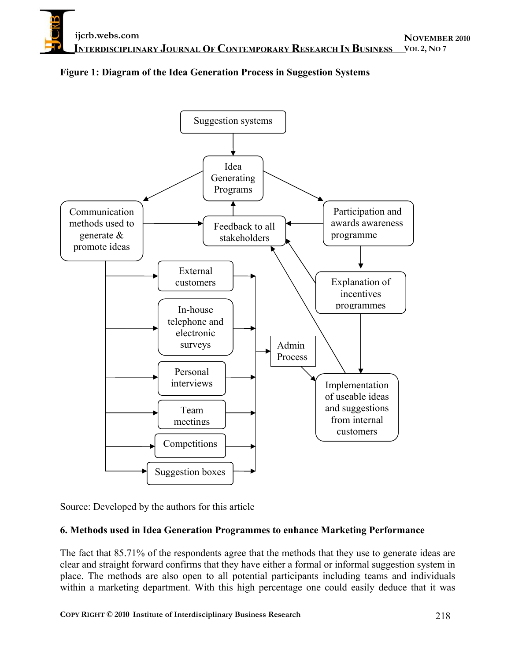

### **Figure 1: Diagram of the Idea Generation Process in Suggestion Systems**

Source: Developed by the authors for this article

#### **6. Methods used in Idea Generation Programmes to enhance Marketing Performance**

The fact that 85.71% of the respondents agree that the methods that they use to generate ideas are clear and straight forward confirms that they have either a formal or informal suggestion system in place. The methods are also open to all potential participants including teams and individuals within a marketing department. With this high percentage one could easily deduce that it was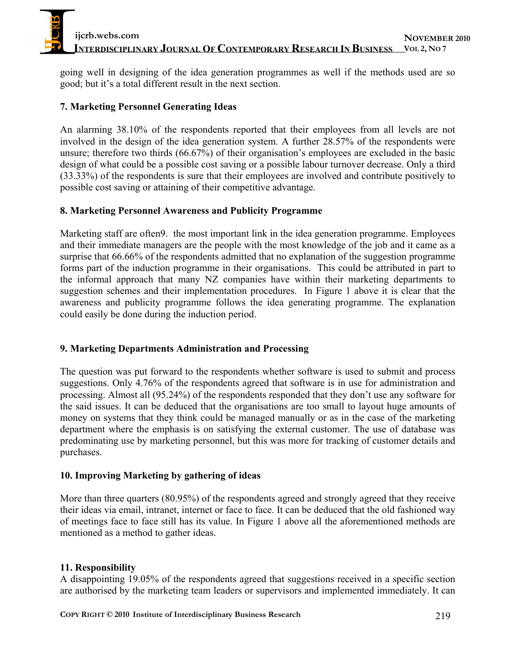going well in designing of the idea generation programmes as well if the methods used are so good; but it's a total different result in the next section.

## **7. Marketing Personnel Generating Ideas**

An alarming 38.10% of the respondents reported that their employees from all levels are not involved in the design of the idea generation system. A further 28.57% of the respondents were unsure; therefore two thirds (66.67%) of their organisation's employees are excluded in the basic design of what could be a possible cost saving or a possible labour turnover decrease. Only a third (33.33%) of the respondents is sure that their employees are involved and contribute positively to possible cost saving or attaining of their competitive advantage.

### **8. Marketing Personnel Awareness and Publicity Programme**

Marketing staff are often9. the most important link in the idea generation programme. Employees and their immediate managers are the people with the most knowledge of the job and it came as a surprise that 66.66% of the respondents admitted that no explanation of the suggestion programme forms part of the induction programme in their organisations. This could be attributed in part to the informal approach that many NZ companies have within their marketing departments to suggestion schemes and their implementation procedures. In Figure 1 above it is clear that the awareness and publicity programme follows the idea generating programme. The explanation could easily be done during the induction period.

### **9. Marketing Departments Administration and Processing**

The question was put forward to the respondents whether software is used to submit and process suggestions. Only 4.76% of the respondents agreed that software is in use for administration and processing. Almost all (95.24%) of the respondents responded that they don't use any software for the said issues. It can be deduced that the organisations are too small to layout huge amounts of money on systems that they think could be managed manually or as in the case of the marketing department where the emphasis is on satisfying the external customer. The use of database was predominating use by marketing personnel, but this was more for tracking of customer details and purchases.

### **10. Improving Marketing by gathering of ideas**

More than three quarters (80.95%) of the respondents agreed and strongly agreed that they receive their ideas via email, intranet, internet or face to face. It can be deduced that the old fashioned way of meetings face to face still has its value. In Figure 1 above all the aforementioned methods are mentioned as a method to gather ideas.

### **11. Responsibility**

A disappointing 19.05% of the respondents agreed that suggestions received in a specific section are authorised by the marketing team leaders or supervisors and implemented immediately. It can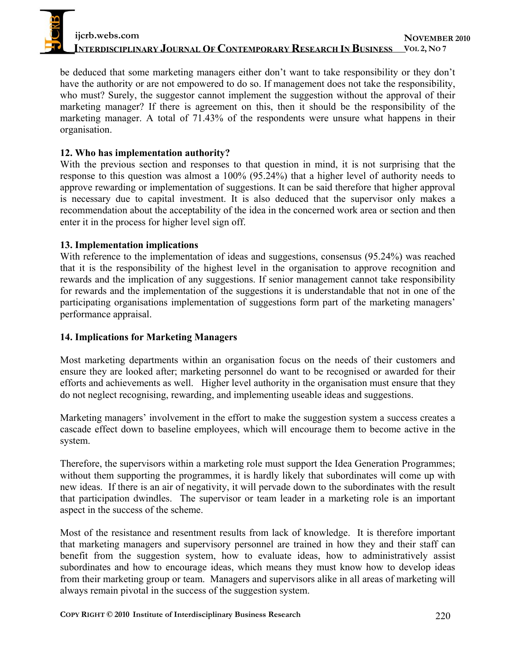be deduced that some marketing managers either don't want to take responsibility or they don't have the authority or are not empowered to do so. If management does not take the responsibility, who must? Surely, the suggestor cannot implement the suggestion without the approval of their marketing manager? If there is agreement on this, then it should be the responsibility of the marketing manager. A total of 71.43% of the respondents were unsure what happens in their organisation.

### **12. Who has implementation authority?**

With the previous section and responses to that question in mind, it is not surprising that the response to this question was almost a 100% (95.24%) that a higher level of authority needs to approve rewarding or implementation of suggestions. It can be said therefore that higher approval is necessary due to capital investment. It is also deduced that the supervisor only makes a recommendation about the acceptability of the idea in the concerned work area or section and then enter it in the process for higher level sign off.

### **13. Implementation implications**

With reference to the implementation of ideas and suggestions, consensus (95.24%) was reached that it is the responsibility of the highest level in the organisation to approve recognition and rewards and the implication of any suggestions. If senior management cannot take responsibility for rewards and the implementation of the suggestions it is understandable that not in one of the participating organisations implementation of suggestions form part of the marketing managers' performance appraisal.

# **14. Implications for Marketing Managers**

Most marketing departments within an organisation focus on the needs of their customers and ensure they are looked after; marketing personnel do want to be recognised or awarded for their efforts and achievements as well. Higher level authority in the organisation must ensure that they do not neglect recognising, rewarding, and implementing useable ideas and suggestions.

Marketing managers' involvement in the effort to make the suggestion system a success creates a cascade effect down to baseline employees, which will encourage them to become active in the system.

Therefore, the supervisors within a marketing role must support the Idea Generation Programmes; without them supporting the programmes, it is hardly likely that subordinates will come up with new ideas. If there is an air of negativity, it will pervade down to the subordinates with the result that participation dwindles. The supervisor or team leader in a marketing role is an important aspect in the success of the scheme.

Most of the resistance and resentment results from lack of knowledge. It is therefore important that marketing managers and supervisory personnel are trained in how they and their staff can benefit from the suggestion system, how to evaluate ideas, how to administratively assist subordinates and how to encourage ideas, which means they must know how to develop ideas from their marketing group or team. Managers and supervisors alike in all areas of marketing will always remain pivotal in the success of the suggestion system.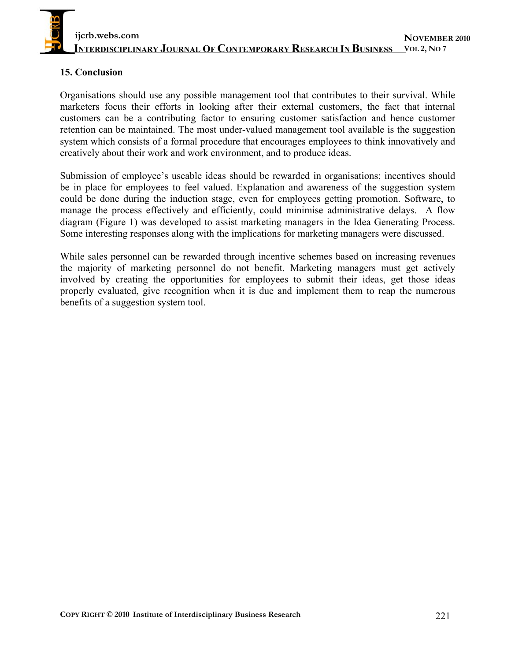

#### **15. Conclusion**

Organisations should use any possible management tool that contributes to their survival. While marketers focus their efforts in looking after their external customers, the fact that internal customers can be a contributing factor to ensuring customer satisfaction and hence customer retention can be maintained. The most under-valued management tool available is the suggestion system which consists of a formal procedure that encourages employees to think innovatively and creatively about their work and work environment, and to produce ideas.

Submission of employee's useable ideas should be rewarded in organisations; incentives should be in place for employees to feel valued. Explanation and awareness of the suggestion system could be done during the induction stage, even for employees getting promotion. Software, to manage the process effectively and efficiently, could minimise administrative delays. A flow diagram (Figure 1) was developed to assist marketing managers in the Idea Generating Process. Some interesting responses along with the implications for marketing managers were discussed.

While sales personnel can be rewarded through incentive schemes based on increasing revenues the majority of marketing personnel do not benefit. Marketing managers must get actively involved by creating the opportunities for employees to submit their ideas, get those ideas properly evaluated, give recognition when it is due and implement them to reap the numerous benefits of a suggestion system tool.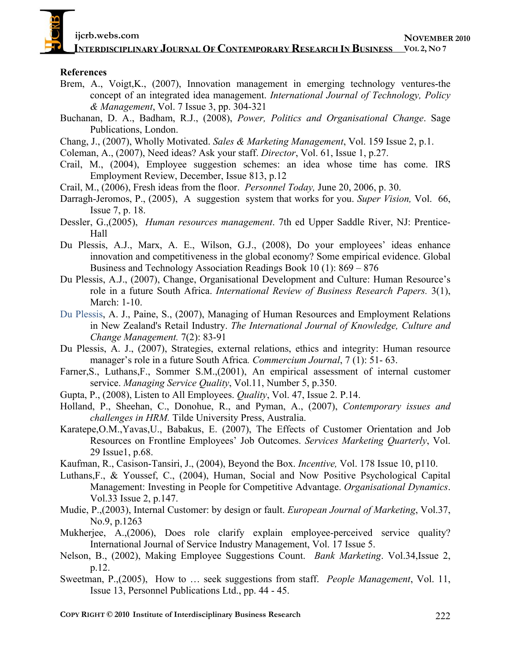**ijcrb.webs.com** 

**INTERDISCIPLINARY JOURNAL OF CONTEMPORARY RESEARCH IN BUSINESS VOL 2, NO 7** 

#### **References**

- Brem, A., Voigt,K., (2007), Innovation management in emerging technology ventures-the concept of an integrated idea management. *International Journal of Technology, Policy & Management*, Vol. 7 Issue 3, pp. 304-321
- Buchanan, D. A., Badham, R.J., (2008), *Power, Politics and Organisational Change*. Sage Publications, London.
- Chang, J., (2007), Wholly Motivated. *Sales & Marketing Management*, Vol. 159 Issue 2, p.1.
- Coleman, A., (2007), Need ideas? Ask your staff. *Director*, Vol. 61, Issue 1, p.27.
- Crail, M., (2004), Employee suggestion schemes: an idea whose time has come. IRS Employment Review, December, Issue 813, p.12
- Crail, M., (2006), Fresh ideas from the floor. *Personnel Today,* June 20, 2006, p. 30.
- Darragh-Jeromos, P., (2005), A suggestion system that works for you. *Super Vision,* Vol. 66, Issue 7, p. 18.
- Dessler, G.,(2005), *Human resources management*. 7th ed Upper Saddle River, NJ: Prentice-Hall
- Du Plessis, A.J., Marx, A. E., Wilson, G.J., (2008), Do your employees' ideas enhance innovation and competitiveness in the global economy? Some empirical evidence. Global Business and Technology Association Readings Book 10 (1): 869 – 876
- Du Plessis, A.J., (2007), Change, Organisational Development and Culture: Human Resource's role in a future South Africa. *International Review of Business Research Papers.* 3(1), March: 1-10.
- Du Plessis, A. J., Paine, S., (2007), Managing of Human Resources and Employment Relations in New Zealand's Retail Industry. *The International Journal of Knowledge, Culture and Change Management.* 7(2): 83-91
- Du Plessis, A. J., (2007), Strategies, external relations, ethics and integrity: Human resource manager's role in a future South Africa*. Commercium Journal*, 7 (1): 51- 63.
- Farner,S., Luthans,F., Sommer S.M.,(2001), An empirical assessment of internal customer service. *Managing Service Quality*, Vol.11, Number 5, p.350.
- Gupta, P., (2008), Listen to All Employees. *Quality*, Vol. 47, Issue 2. P.14.
- Holland, P., Sheehan, C., Donohue, R., and Pyman, A., (2007), *Contemporary issues and challenges in HRM.* Tilde University Press, Australia.
- Karatepe,O.M.,Yavas,U., Babakus, E. (2007), The Effects of Customer Orientation and Job Resources on Frontline Employees' Job Outcomes. *Services Marketing Quarterly*, Vol. 29 Issue1, p.68.

Kaufman, R., Casison-Tansiri, J., (2004), Beyond the Box. *Incentive,* Vol. 178 Issue 10, p110.

- Luthans,F., & Youssef, C., (2004), Human, Social and Now Positive Psychological Capital Management: Investing in People for Competitive Advantage. *Organisational Dynamics*. Vol.33 Issue 2, p.147.
- Mudie, P.,(2003), Internal Customer: by design or fault. *European Journal of Marketing*, Vol.37, No.9, p.1263
- Mukherjee, A.,(2006), Does role clarify explain employee-perceived service quality? International Journal of Service Industry Management, Vol. 17 Issue 5.
- Nelson, B., (2002), Making Employee Suggestions Count. *Bank Marketing*. Vol.34,Issue 2, p.12.
- Sweetman, P.,(2005), How to … seek suggestions from staff. *People Management*, Vol. 11, Issue 13, Personnel Publications Ltd., pp. 44 - 45.